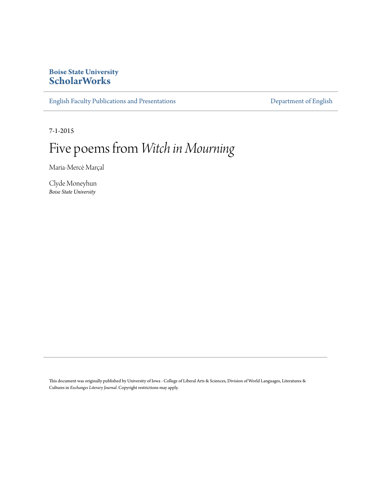#### **Boise State University [ScholarWorks](https://scholarworks.boisestate.edu)**

[English Faculty Publications and Presentations](https://scholarworks.boisestate.edu/english_facpubs) **English Beneficial Constructions** [Department of English](https://scholarworks.boisestate.edu/english)

7-1-2015

### Five poems from *Witch in Mourning*

Maria-Mercè Marçal

Clyde Moneyhun *Boise State University*

This document was originally published by University of Iowa - College of Liberal Arts & Sciences, Division of World Languages, Literatures & Cultures in *Exchanges Literary Journal*. Copyright restrictions may apply.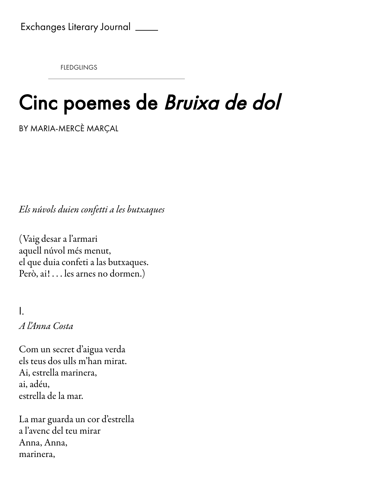**FLEDGLINGS** 

## Cinc poemes de Bruixa de dol

BY MARIA-MERCÈ MARÇAL

Els núvols duien confetti a les butxaques

(Vaig dear a l'armari aquell núvol més menut, el que duia confeti a las butxaques. Però, ai!... les arnes no dormen.)

I. A l'Anna Cota

Com un ecret d'aigua verda els teus dos ulls m'han mirat. Ai, etrella marinera, ai, adéu, etrella de la mar.

La mar guarda un cor d'estrella a l'avenc del teu mirar Anna, Anna, marinera,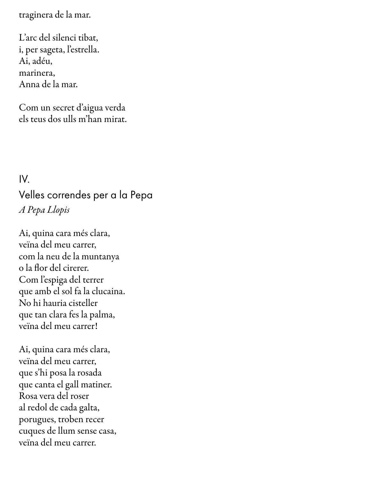traginera de la mar.

L'arc del silenci tibat, i, per ageta, l'etrella. Ai, adéu, marinera, Anna de la mar.

Com un ecret d'aigua verda els teus dos ulls m'han mirat.

### IV. Velles correndes per a la Pepa A Pepa Llopi

Ai, quina cara més clara, veïna del meu carrer, com la neu de la muntanya o la flor del cirerer. Com l'epiga del terrer que amb el sol fa la clucaina. No hi hauria cisteller que tan clara fes la palma, veïna del meu carrer!

Ai, quina cara més clara, veïna del meu carrer, que s'hi posa la rosada que canta el gall matiner. Rosa vera del roser al redol de cada galta, porugues, troben recer cuques de llum sense casa, veïna del meu carrer.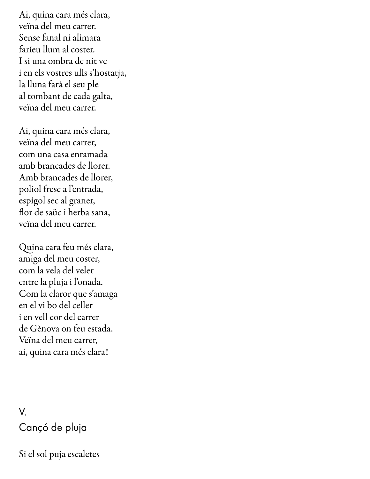Ai, quina cara més clara, veïna del meu carrer. Sense fanal ni alimara faríeu llum al coster. I si una ombra de nit ve i en els vostres ulls s'hostatja, la lluna farà el seu ple al tombant de cada galta, veïna del meu carrer.

Ai, quina cara més clara, veïna del meu carrer, com una caa enramada amb brancades de llorer. Amb brancades de llorer. poliol fresc a l'entrada, epígol ec al graner, flor de saüc i herba sana, veïna del meu carrer.

Quina cara feu més clara, amiga del meu coter, com la vela del veler entre la pluja i l'onada. Com la claror que s'amaga en el vi bo del celler i en vell cor del carrer de Gènova on feu etada. Veïna del meu carrer, ai, quina cara més clara!

#### V. Cançó de pluja

Si el sol puja escaletes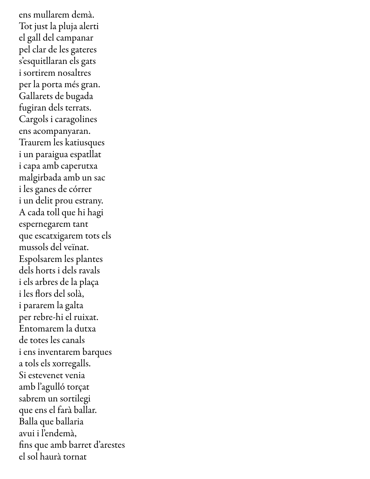ens mullarem demà. Tot just la pluja alerti el gall del campanar pel clar de les gateres s'esquitllaran els gats i sortirem nosaltres per la porta més gran. Gallarets de bugada fugiran dels terrats. Cargols i caragolines ens acompanyaran. Traurem les katiusques i un paraigua epatllat i capa amb caperutxa malgirbada amb un sac i les ganes de córrer i un delit prou estrany. A cada toll que hi hagi epernegarem tant que escatxigarem tots els mussols del veïnat. Espolsarem les plantes dels horts i dels ravals i els arbres de la plaça i les flors del solà, i pararem la galta per rebre-hi el ruixat. Entomarem la dutxa de totes les canals i ens inventarem barques a tols els xorregalls. Si estevenet venia amb l'agulló torçat sabrem un sortilegi que ens el farà ballar. Balla que ballaria avui i l'endemà, fins que amb barret d'arestes el ol haurà tornat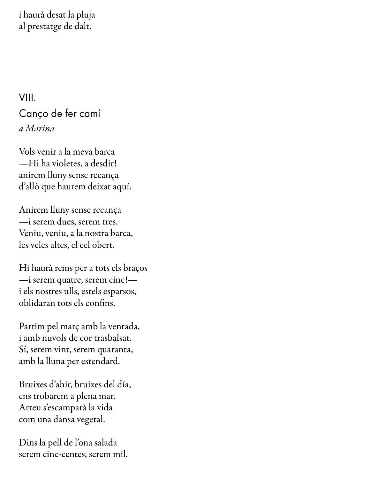i haurà deat la pluja al prestatge de dalt.

VIII. Canço de fer camí a Marina

Vols venir a la meva barca —Hi ha violete, a dedir! anirem lluny sense recança d'allò que haurem deixat aquí.

Anirem lluny sense recança —i erem due, erem tre. Veniu, veniu, a la nostra barca, les veles altes, el cel obert.

Hi haurà rems per a tots els braços —i erem quatre, erem cinc! i els nostres ulls, estels esparsos, oblidaran tots els confins.

Partim pel març amb la ventada, i amb nuvols de cor trasbalsat. í, erem vint, erem quaranta, amb la lluna per estendard.

Bruixes d'ahir, bruixes del día, ens trobarem a plena mar. Arreu s'escamparà la vida com una dana vegetal.

Dins la pell de l'ona salada serem cinc-centes, serem mil.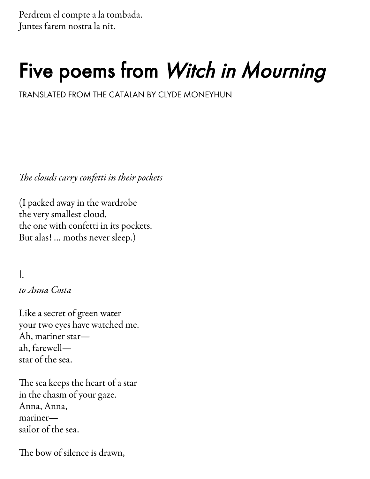Perdrem el compte a la tombada. Juntes farem nostra la nit.

# Five poems from Witch in Mourning

TRANSIATED FROM THE CATALAN BY CLYDE MONEYHUN

The clouds carry confetti in their pockets

(I packed away in the wardrobe the very smallest cloud, the one with confetti in its pockets. But alas! ... moths never sleep.)

I.

to Anna Costa

Like a ecret of green water your two eyes have watched me. Ah, mariner starah, farewell star of the sea.

The sea keeps the heart of a star in the chasm of your gaze. Anna, Anna, mariner sailor of the sea.

The bow of silence is drawn,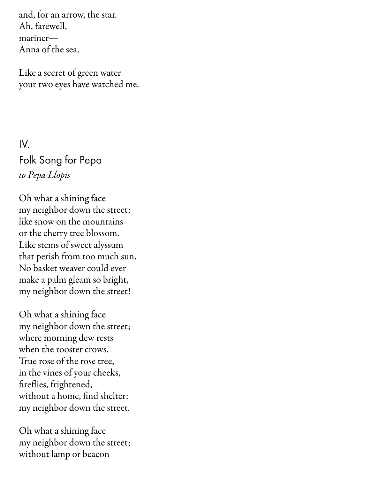and, for an arrow, the tar. Ah, farewell, mariner— Anna of the sea.

Like a ecret of green water your two eyes have watched me.

IV. Folk Song for Pepa to Pepa Llopi

Oh what a shining face my neighbor down the street; like snow on the mountains or the cherry tree blossom. Like stems of sweet alyssum that perish from too much sun. No basket weaver could ever make a palm gleam so bright, my neighbor down the street!

Oh what a shining face my neighbor down the street; where morning dew rests when the rooster crows. True rose of the rose tree, in the vines of your cheeks, fireflies, frightened, without a home, find shelter: my neighbor down the street.

Oh what a shining face my neighbor down the street; without lamp or beacon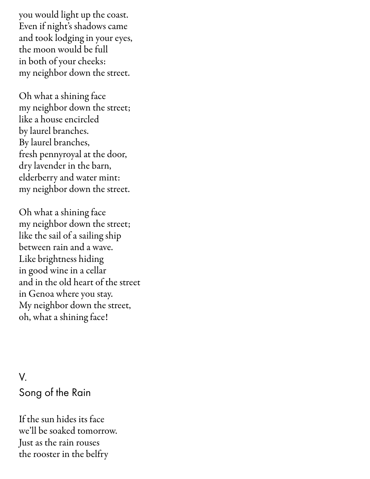you would light up the coast. Even if night's shadows came and took lodging in your eyes, the moon would be full in both of your cheeks: my neighbor down the street.

Oh what a shining face my neighbor down the street; like a house encircled by laurel branches. By laurel branches, fresh pennyroyal at the door, dry lavender in the barn, elderberry and water mint: my neighbor down the street.

Oh what a shining face my neighbor down the street; like the sail of a sailing ship between rain and a wave. Like brightness hiding in good wine in a cellar and in the old heart of the treet in Genoa where you stay. My neighbor down the street, oh, what a shining face!

### V. Song of the Rain

If the sun hides its face we'll be soaked tomorrow. Just as the rain rouses the rooster in the belfry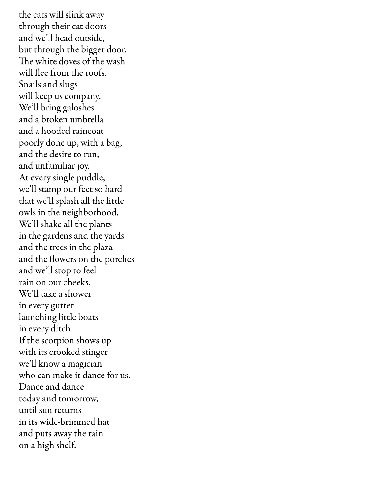the cats will slink away through their cat door and we'll head outside, but through the bigger door. The white doves of the wash will flee from the roofs. Snails and slugs will keep us company. We'll bring galoshes and a broken umbrella and a hooded raincoat poorly done up, with a bag, and the desire to run, and unfamiliar joy. At every single puddle, we'll stamp our feet so hard that we'll splash all the little owls in the neighborhood. We'll shake all the plants in the gardens and the yards and the trees in the plaza and the flowers on the porches and we'll stop to feel rain on our cheek. We'll take a hower in every gutter launching little boats in every ditch. If the scorpion shows up with its crooked stinger we'll know a magician who can make it dance for us. Dance and dance today and tomorrow, until sun returns in its wide-brimmed hat and puts away the rain on a high shelf.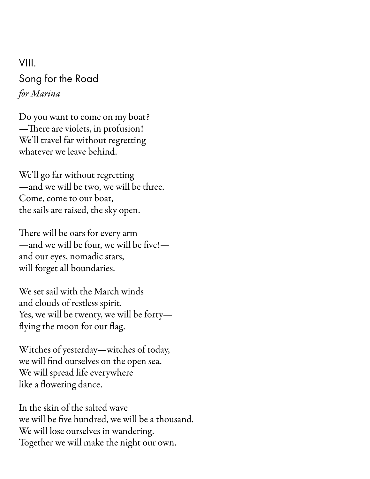#### VIII. Song for the Road for Marina

Do you want to come on my boat? — There are violets, in profusion! We'll travel far without regretting whatever we leave behind.

We'll go far without regretting —and we will be two, we will be three. Come, come to our boat, the sails are raised, the sky open.

There will be oars for every arm  $-$  and we will be four, we will be five! $$ and our eyes, nomadic stars, will forget all boundaries.

We set sail with the March winds and clouds of restless spirit. Yes, we will be twenty, we will be forty flying the moon for our flag.

Witches of yesterday—witches of today, we will find ourselves on the open sea. We will spread life everywhere like a flowering dance.

In the skin of the salted wave we will be five hundred, we will be a thousand. We will lose ourselves in wandering. Together we will make the night our own.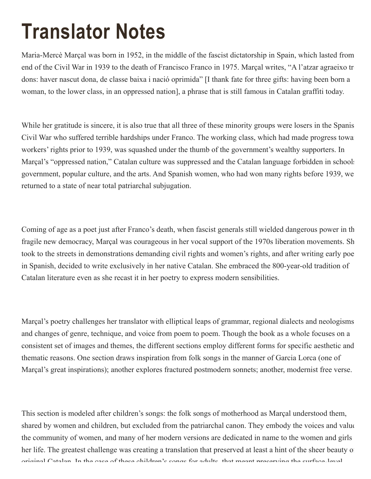### Translator Notes

Maria-Mercè Marçal was born in 1952, in the middle of the fascist dictatorship in Spain, which lasted from end of the Civil War in 1939 to the death of Francisco Franco in 1975. Marçal writes, "A l'atzar agraeixo tre dons: haver nascut dona, de classe baixa i nació oprimida" [I thank fate for three gifts: having been born a woman, to the lower class, in an oppressed nation], a phrase that is still famous in Catalan graffiti today.

While her gratitude is sincere, it is also true that all three of these minority groups were losers in the Spanish Civil War who suffered terrible hardships under Franco. The working class, which had made progress toward workers' rights prior to 1939, was squashed under the thumb of the government's wealthy supporters. In Marçal's "oppressed nation," Catalan culture was suppressed and the Catalan language forbidden in schools government, popular culture, and the arts. And Spanish women, who had won many rights before 1939, we returned to a state of near total patriarchal subjugation.

Coming of age as a poet just after Franco's death, when fascist generals still wielded dangerous power in the fragile new democracy, Marçal was courageous in her vocal support of the 1970s liberation movements. Sh took to the streets in demonstrations demanding civil rights and women's rights, and after writing early poem in Spanish, decided to write exclusively in her native Catalan. She embraced the 800-year-old tradition of Catalan literature even as she recast it in her poetry to express modern sensibilities.

Marçal's poetry challenges her translator with elliptical leaps of grammar, regional dialects and neologisms and changes of genre, technique, and voice from poem to poem. Though the book as a whole focuses on a consistent set of images and themes, the different sections employ different forms for specific aesthetic and thematic reasons. One section draws inspiration from folk songs in the manner of Garcia Lorca (one of Marçal's great inspirations); another explores fractured postmodern sonnets; another, modernist free verse.

This section is modeled after children's songs: the folk songs of motherhood as Marçal understood them, shared by women and children, but excluded from the patriarchal canon. They embody the voices and value the community of women, and many of her modern versions are dedicated in name to the women and girls her life. The greatest challenge was creating a translation that preserved at least a hint of the sheer beauty of original Catalan. In the case of these children's songs for adults, that meant preserving the surface level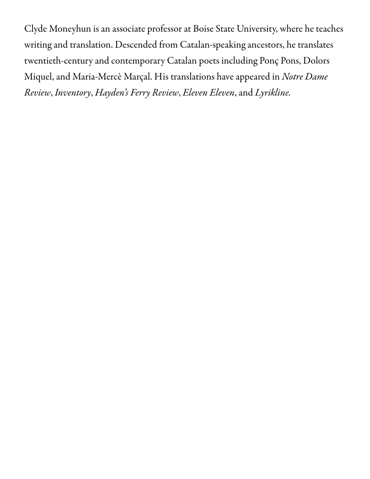Clyde Moneyhun is an associate professor at Boise State University, where he teaches writing and translation. Descended from Catalan-speaking ancestors, he translates twentieth-century and contemporary Catalan poets including Ponç Pons, Dolors Miquel, and Maria-Mercè Marçal. His translations have appeared in Notre Dame Review, Inventory, Hayden's Ferry Review, Eleven Eleven, and Lyrikline.